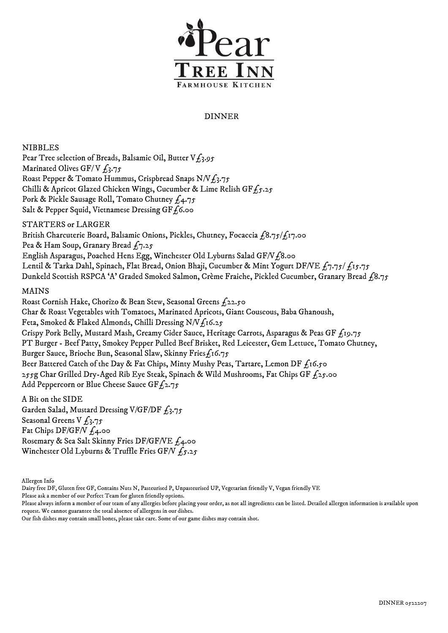

## DINNER

NIBBLES Pear Tree selection of Breads, Balsamic Oil, Butter  $V_{\text{L}3.95}$ Marinated Olives GF/V  $f_3.75$ Roast Pepper & Tomato Hummus, Crispbread Snaps N/V $f_3$ .75 Chilli & Apricot Glazed Chicken Wings, Cucumber & Lime Relish GF£5.25 Pork & Pickle Sausage Roll, Tomato Chutney  $f_4.75$ Salt & Pepper Squid, Vietnamese Dressing GF $f$ 6.00

STARTERS or LARGER British Charcuterie Board, Balsamic Onions, Pickles, Chutney, Focaccia  $f_18.75/f_17.00$ Pea & Ham Soup, Granary Bread  $f_7.25$ English Asparagus, Poached Hens Egg, Winchester Old Lyburns Salad GF/V£8.00 Lentil & Tarka Dahl, Spinach, Flat Bread, Onion Bhaji, Cucumber & Mint Yogurt DF/VE  $f_7$ .75/  $f_1$ 5.75 Dunkeld Scottish RSPCA 'A' Graded Smoked Salmon, Crème Fraiche, Pickled Cucumber, Granary Bread  $\hat{f}8.75$ 

## MAINS

 Roast Cornish Hake, Chorizo & Bean Stew, Seasonal Greens £22.50 Char & Roast Vegetables with Tomatoes, Marinated Apricots, Giant Couscous, Baba Ghanoush, Feta, Smoked & Flaked Almonds, Chilli Dressing N/V $f_1$ 16.25 Crispy Pork Belly, Mustard Mash, Creamy Cider Sauce, Heritage Carrots, Asparagus & Peas GF  $f_{19.75}$ PT Burger - Beef Patty, Smokey Pepper Pulled Beef Brisket, Red Leicester, Gem Lettuce, Tomato Chutney, Burger Sauce, Brioche Bun, Seasonal Slaw, Skinny Fries $f_1$ 6.75 Beer Battered Catch of the Day & Fat Chips, Minty Mushy Peas, Tartare, Lemon DF  $f_1$ 16.50 255g Char Grilled Dry-Aged Rib Eye Steak, Spinach & Wild Mushrooms, Fat Chips GF  $f_2$ 5.00 Add Peppercorn or Blue Cheese Sauce GF $f_2$ .75

A Bit on the SIDE Garden Salad, Mustard Dressing V/GF/DF  $f_3.75$ Seasonal Greens V  $f_3.75$ Fat Chips DF/GF/V  $f_4$ .00 Rosemary & Sea Salt Skinny Fries DF/GF/VE £4.00 Winchester Old Lyburns & Truffle Fries GF/V  $f_5.25$ 

Allergen Info

Dairy free DF, Gluten free GF, Contains Nuts N, Pasteurised P, Unpasteurised UP, Vegetarian friendly V, Vegan friendly VE

Please ask a member of our Perfect Team for gluten friendly options.

Please always inform a member of our team of any allergies before placing your order, as not all ingredients can be listed. Detailed allergen information is available upon request. We cannot guarantee the total absence of allergens in our dishes.

Our fish dishes may contain small bones, please take care. Some of our game dishes may contain shot.